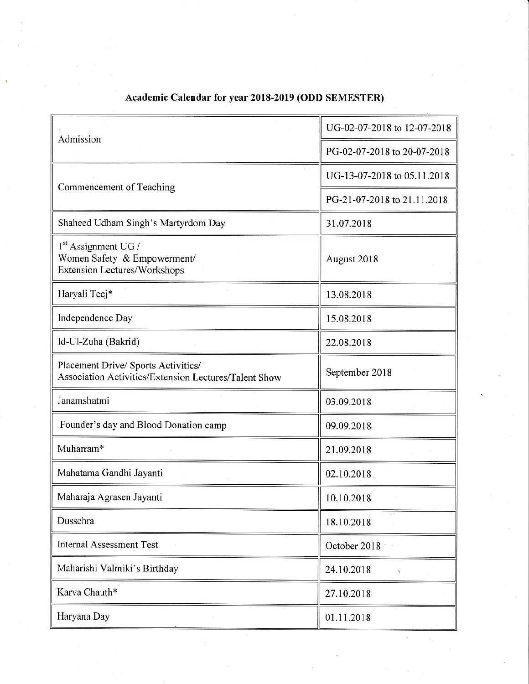| Admission                                                                                    | UG-02-07-2018 to 12-07-2018 |
|----------------------------------------------------------------------------------------------|-----------------------------|
|                                                                                              | PG-02-07-2018 to 20-07-2018 |
| Commencement of Teaching                                                                     | UG-13-07-2018 to 05.11.2018 |
|                                                                                              | PG-21-07-2018 to 21.11.2018 |
| Shaheed Udham Singh's Martyrdom Day                                                          | 31.07.2018                  |
| $1st$ Assignment UG /<br>Women Safety & Empowerment/<br>Extension Lectures/Workshops         | August 2018                 |
| Haryali Teej*                                                                                | 13.08.2018                  |
| Independence Day                                                                             | 15.08.2018                  |
| Id-Ul-Zuha (Bakrid)                                                                          | 22.08.2018                  |
| Placement Drive/ Sports Activities/<br>Association Activities/Extension Lectures/Talent Show | September 2018              |
| Janamshatmi                                                                                  | 03.09.2018                  |
| Founder's day and Blood Donation camp                                                        | 09.09.2018                  |
| Muharram*                                                                                    | 21.09.2018                  |
| Mahatama Gandhi Jayanti                                                                      | 02.10.2018.                 |
| Maharaja Agrasen Jayanti                                                                     | 10.10.2018                  |
| Dussehra                                                                                     | 18.10.2018                  |
| <b>Internal Assessment Test</b>                                                              | October 2018                |
| Maharishi Valmiki's Birthday                                                                 | 24.10.2018                  |
| Karva Chauth*                                                                                | 27.10.2018                  |
| Haryana Day                                                                                  | 01.11.2018                  |

## Academic Calendar for year 2018-2019 (ODD SEMESTER)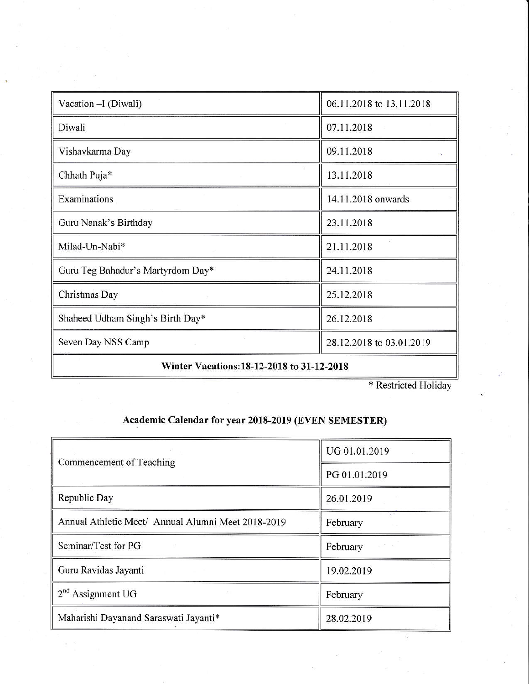| Vacation - I (Diwali)                     | 06.11.2018 to 13.11.2018 |  |
|-------------------------------------------|--------------------------|--|
| Diwali                                    | 07.11.2018               |  |
| Vishavkarma Day                           | 09.11.2018               |  |
| Chhath Puja*                              | 13.11.2018               |  |
| Examinations                              | 14.11.2018 onwards       |  |
| Guru Nanak's Birthday                     | 23.11.2018               |  |
| Milad-Un-Nabi*                            | 21.11.2018               |  |
| Guru Teg Bahadur's Martyrdom Day*         | 24.11.2018               |  |
| Christmas Day                             | 25.12.2018               |  |
| Shaheed Udham Singh's Birth Day*          | 26.12.2018               |  |
| Seven Day NSS Camp                        | 28.12.2018 to 03.01.2019 |  |
| Winton Vacations 19 12 2019 to 21 12 2019 |                          |  |

Winter Vacations: 18-12-2018 to 31-12-2018

\* Restricted Holiday

 $\overline{\mathcal{R}}$ 

## Academic Calendar for year 2018-2019 (EVEN SEMESTER)

| Commencement of Teaching                           | UG 01.01.2019 |
|----------------------------------------------------|---------------|
|                                                    | PG 01.01.2019 |
| Republic Day                                       | 26.01.2019    |
| Annual Athletic Meet/ Annual Alumni Meet 2018-2019 | February      |
| Seminar/Test for PG                                | February      |
| Guru Ravidas Jayanti                               | 19.02.2019    |
| $2nd$ Assignment UG                                | February      |
| Maharishi Dayanand Saraswati Jayanti*              | 28.02.2019    |